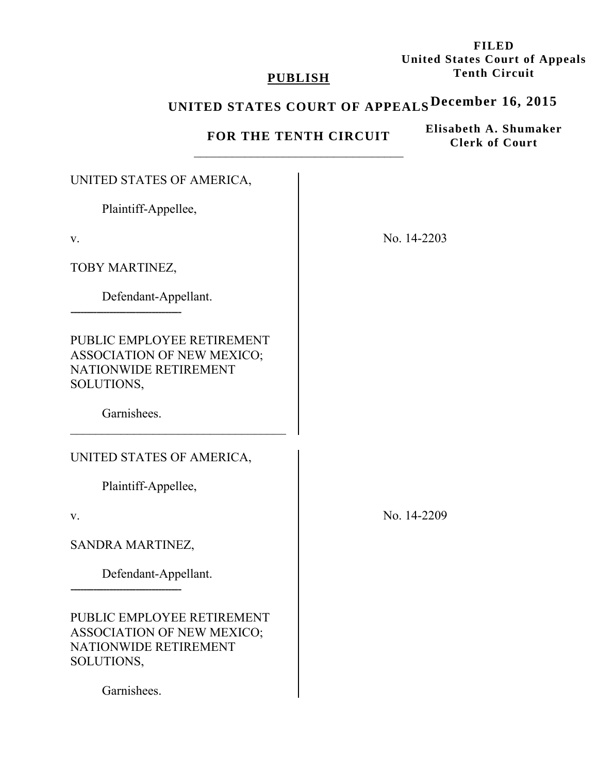**FILED United States Court of Appeals Tenth Circuit** 

## **PUBLISH**

# **UNITED STATES COURT OF APPEALS December 16, 2015**

**FOR THE TENTH CIRCUIT** 

**Elisabeth A. Shumaker Clerk of Court**

| UNITED STATES OF AMERICA,                                                                       |             |
|-------------------------------------------------------------------------------------------------|-------------|
| Plaintiff-Appellee,                                                                             |             |
| V.                                                                                              | No. 14-2203 |
| TOBY MARTINEZ,                                                                                  |             |
| Defendant-Appellant.                                                                            |             |
| PUBLIC EMPLOYEE RETIREMENT<br>ASSOCIATION OF NEW MEXICO;<br>NATIONWIDE RETIREMENT<br>SOLUTIONS, |             |
| Garnishees.                                                                                     |             |
| UNITED STATES OF AMERICA,                                                                       |             |
| Plaintiff-Appellee,                                                                             |             |
| V.                                                                                              | No. 14-2209 |
| SANDRA MARTINEZ,                                                                                |             |
| Defendant-Appellant.                                                                            |             |
| PUBLIC EMPLOYEE RETIREMENT<br>ASSOCIATION OF NEW MEXICO;<br>NATIONWIDE RETIREMENT<br>SOLUTIONS, |             |
| Garnishees.                                                                                     |             |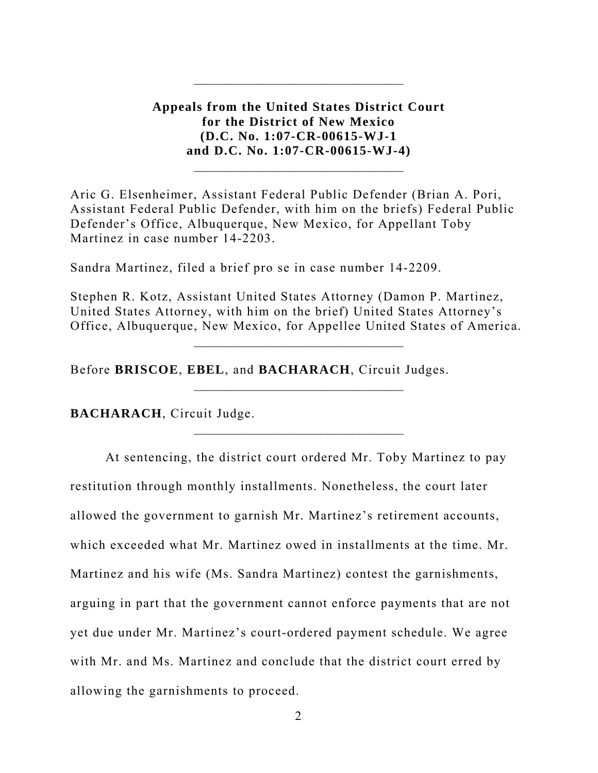**Appeals from the United States District Court for the District of New Mexico (D.C. No. 1:07-CR-00615-WJ-1 and D.C. No. 1:07-CR-00615-WJ-4)**

Aric G. Elsenheimer, Assistant Federal Public Defender (Brian A. Pori, Assistant Federal Public Defender, with him on the briefs) Federal Public Defender's Office, Albuquerque, New Mexico, for Appellant Toby Martinez in case number 14-2203.

Sandra Martinez, filed a brief pro se in case number 14-2209.

Stephen R. Kotz, Assistant United States Attorney (Damon P. Martinez, United States Attorney, with him on the brief) United States Attorney's Office, Albuquerque, New Mexico, for Appellee United States of America.

 $\mathcal{L}_\text{max}$  and  $\mathcal{L}_\text{max}$  and  $\mathcal{L}_\text{max}$  and  $\mathcal{L}_\text{max}$ 

Before **BRISCOE**, **EBEL**, and **BACHARACH**, Circuit Judges.

**BACHARACH**, Circuit Judge.

 At sentencing, the district court ordered Mr. Toby Martinez to pay restitution through monthly installments. Nonetheless, the court later allowed the government to garnish Mr. Martinez's retirement accounts, which exceeded what Mr. Martinez owed in installments at the time. Mr. Martinez and his wife (Ms. Sandra Martinez) contest the garnishments, arguing in part that the government cannot enforce payments that are not yet due under Mr. Martinez's court-ordered payment schedule. We agree with Mr. and Ms. Martinez and conclude that the district court erred by allowing the garnishments to proceed.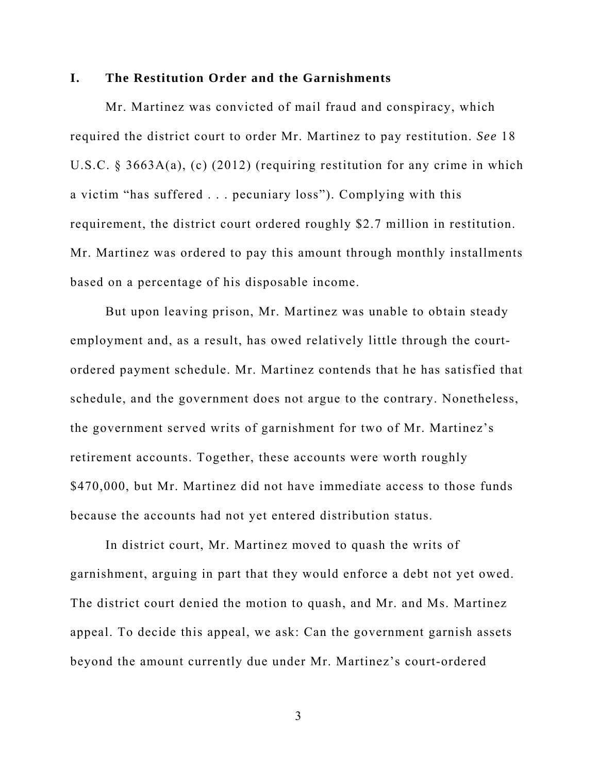### **I. The Restitution Order and the Garnishments**

Mr. Martinez was convicted of mail fraud and conspiracy, which required the district court to order Mr. Martinez to pay restitution. *See* 18 U.S.C. § 3663A(a), (c) (2012) (requiring restitution for any crime in which a victim "has suffered . . . pecuniary loss"). Complying with this requirement, the district court ordered roughly \$2.7 million in restitution. Mr. Martinez was ordered to pay this amount through monthly installments based on a percentage of his disposable income.

But upon leaving prison, Mr. Martinez was unable to obtain steady employment and, as a result, has owed relatively little through the courtordered payment schedule. Mr. Martinez contends that he has satisfied that schedule, and the government does not argue to the contrary. Nonetheless, the government served writs of garnishment for two of Mr. Martinez's retirement accounts. Together, these accounts were worth roughly \$470,000, but Mr. Martinez did not have immediate access to those funds because the accounts had not yet entered distribution status.

In district court, Mr. Martinez moved to quash the writs of garnishment, arguing in part that they would enforce a debt not yet owed. The district court denied the motion to quash, and Mr. and Ms. Martinez appeal. To decide this appeal, we ask: Can the government garnish assets beyond the amount currently due under Mr. Martinez's court-ordered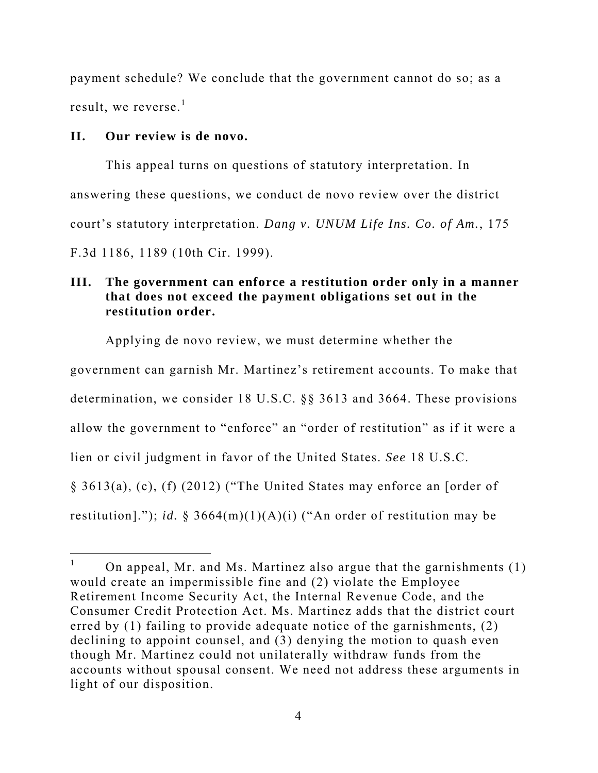payment schedule? We conclude that the government cannot do so; as a result, we reverse. $<sup>1</sup>$ </sup>

### **II. Our review is de novo.**

 $\overline{a}$ 

This appeal turns on questions of statutory interpretation. In answering these questions, we conduct de novo review over the district court's statutory interpretation. *Dang v. UNUM Life Ins. Co. of Am.*, 175 F.3d 1186, 1189 (10th Cir. 1999).

# **III. The government can enforce a restitution order only in a manner that does not exceed the payment obligations set out in the restitution order.**

Applying de novo review, we must determine whether the

government can garnish Mr. Martinez's retirement accounts. To make that

determination, we consider 18 U.S.C. §§ 3613 and 3664. These provisions

allow the government to "enforce" an "order of restitution" as if it were a

lien or civil judgment in favor of the United States. *See* 18 U.S.C.

§ 3613(a), (c), (f) (2012) ("The United States may enforce an [order of

restitution]."); *id.*  $\S 3664(m)(1)(A)(i)$  ("An order of restitution may be

<sup>1</sup> On appeal, Mr. and Ms. Martinez also argue that the garnishments (1) would create an impermissible fine and (2) violate the Employee Retirement Income Security Act, the Internal Revenue Code, and the Consumer Credit Protection Act. Ms. Martinez adds that the district court erred by (1) failing to provide adequate notice of the garnishments, (2) declining to appoint counsel, and (3) denying the motion to quash even though Mr. Martinez could not unilaterally withdraw funds from the accounts without spousal consent. We need not address these arguments in light of our disposition.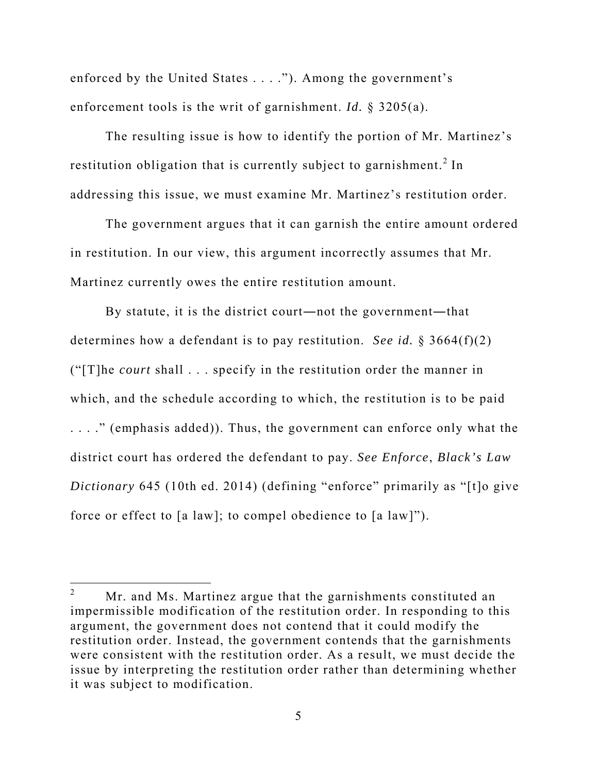enforced by the United States . . . ."). Among the government's enforcement tools is the writ of garnishment. *Id.* § 3205(a).

The resulting issue is how to identify the portion of Mr. Martinez's restitution obligation that is currently subject to garnishment.<sup>2</sup> In addressing this issue, we must examine Mr. Martinez's restitution order.

 The government argues that it can garnish the entire amount ordered in restitution. In our view, this argument incorrectly assumes that Mr. Martinez currently owes the entire restitution amount.

 By statute, it is the district court―not the government―that determines how a defendant is to pay restitution. *See id.* § 3664(f)(2) ("[T]he *court* shall . . . specify in the restitution order the manner in which, and the schedule according to which, the restitution is to be paid . . . ." (emphasis added)). Thus, the government can enforce only what the district court has ordered the defendant to pay. *See Enforce*, *Black's Law Dictionary* 645 (10th ed. 2014) (defining "enforce" primarily as "[t]o give force or effect to [a law]; to compel obedience to [a law]").

 $\overline{a}$ 

<sup>2</sup> Mr. and Ms. Martinez argue that the garnishments constituted an impermissible modification of the restitution order. In responding to this argument, the government does not contend that it could modify the restitution order. Instead, the government contends that the garnishments were consistent with the restitution order. As a result, we must decide the issue by interpreting the restitution order rather than determining whether it was subject to modification.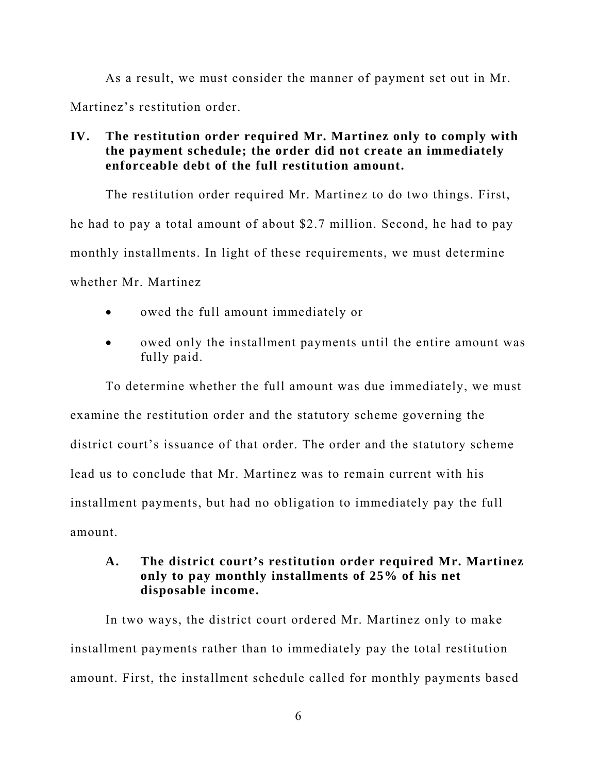As a result, we must consider the manner of payment set out in Mr. Martinez's restitution order.

# **IV. The restitution order required Mr. Martinez only to comply with the payment schedule; the order did not create an immediately enforceable debt of the full restitution amount.**

The restitution order required Mr. Martinez to do two things. First, he had to pay a total amount of about \$2.7 million. Second, he had to pay monthly installments. In light of these requirements, we must determine whether Mr. Martinez

- owed the full amount immediately or
- owed only the installment payments until the entire amount was fully paid.

To determine whether the full amount was due immediately, we must examine the restitution order and the statutory scheme governing the district court's issuance of that order. The order and the statutory scheme lead us to conclude that Mr. Martinez was to remain current with his installment payments, but had no obligation to immediately pay the full amount.

# **A. The district court's restitution order required Mr. Martinez only to pay monthly installments of 25% of his net disposable income.**

In two ways, the district court ordered Mr. Martinez only to make installment payments rather than to immediately pay the total restitution amount. First, the installment schedule called for monthly payments based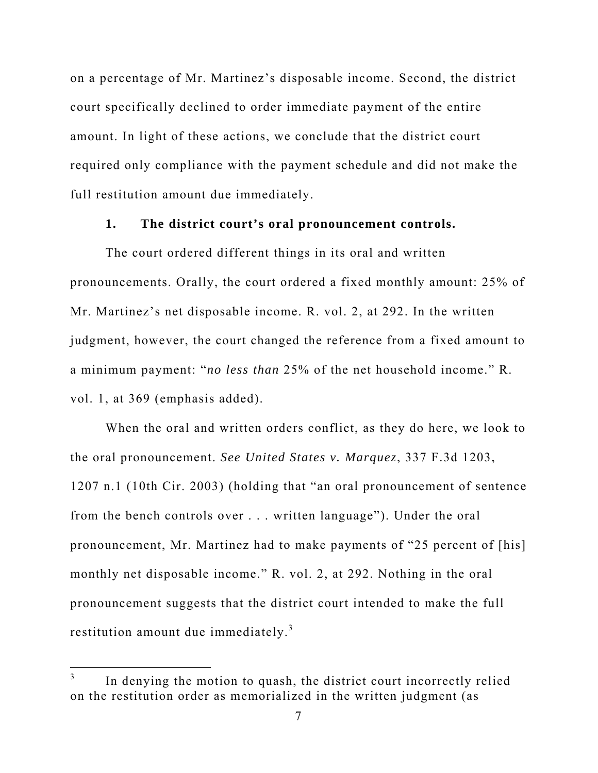on a percentage of Mr. Martinez's disposable income. Second, the district court specifically declined to order immediate payment of the entire amount. In light of these actions, we conclude that the district court required only compliance with the payment schedule and did not make the full restitution amount due immediately.

### **1. The district court's oral pronouncement controls.**

The court ordered different things in its oral and written pronouncements. Orally, the court ordered a fixed monthly amount: 25% of Mr. Martinez's net disposable income. R. vol. 2, at 292. In the written judgment, however, the court changed the reference from a fixed amount to a minimum payment: "*no less than* 25% of the net household income." R. vol. 1, at 369 (emphasis added).

 When the oral and written orders conflict, as they do here, we look to the oral pronouncement. *See United States v. Marquez*, 337 F.3d 1203, 1207 n.1 (10th Cir. 2003) (holding that "an oral pronouncement of sentence from the bench controls over . . . written language"). Under the oral pronouncement, Mr. Martinez had to make payments of "25 percent of [his] monthly net disposable income." R. vol. 2, at 292. Nothing in the oral pronouncement suggests that the district court intended to make the full restitution amount due immediately.<sup>3</sup>

 $\overline{a}$ 

<sup>3</sup> In denying the motion to quash, the district court incorrectly relied on the restitution order as memorialized in the written judgment (as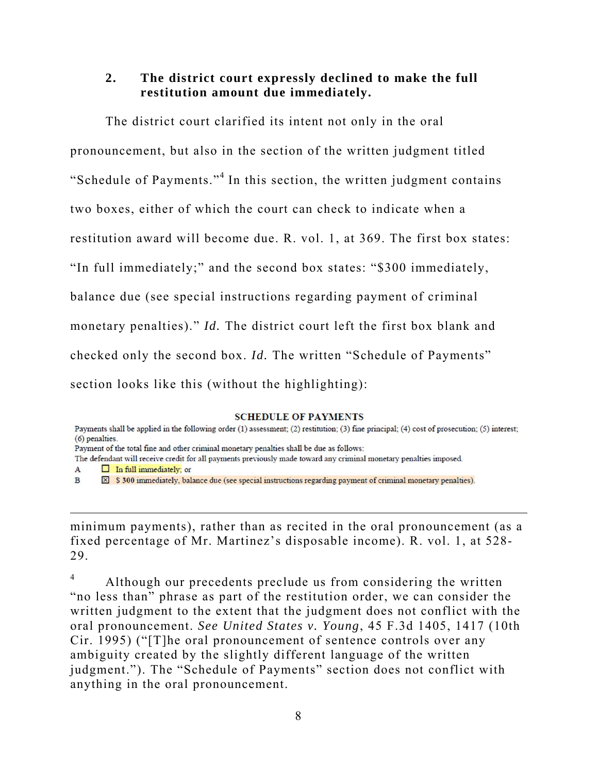### **2. The district court expressly declined to make the full restitution amount due immediately.**

The district court clarified its intent not only in the oral pronouncement, but also in the section of the written judgment titled "Schedule of Payments."<sup>4</sup> In this section, the written judgment contains two boxes, either of which the court can check to indicate when a restitution award will become due. R. vol. 1, at 369. The first box states: "In full immediately;" and the second box states: "\$300 immediately, balance due (see special instructions regarding payment of criminal monetary penalties)." *Id.* The district court left the first box blank and checked only the second box. *Id.* The written "Schedule of Payments" section looks like this (without the highlighting):

#### **SCHEDULE OF PAYMENTS**

 $\overline{a}$ 

minimum payments), rather than as recited in the oral pronouncement (as a fixed percentage of Mr. Martinez's disposable income). R. vol. 1, at 528- 29.

4 Although our precedents preclude us from considering the written "no less than" phrase as part of the restitution order, we can consider the written judgment to the extent that the judgment does not conflict with the oral pronouncement. *See United States v. Young*, 45 F.3d 1405, 1417 (10th Cir. 1995) ("[T]he oral pronouncement of sentence controls over any ambiguity created by the slightly different language of the written judgment."). The "Schedule of Payments" section does not conflict with anything in the oral pronouncement.

Payments shall be applied in the following order (1) assessment; (2) restitution; (3) fine principal; (4) cost of prosecution; (5) interest; (6) penalties.

Payment of the total fine and other criminal monetary penalties shall be due as follows:

The defendant will receive credit for all payments previously made toward any criminal monetary penalties imposed.

 $\Box$  In full immediately; or  $\mathbf{A}$ 

 $\mathbf{B}$ ⊠ \$ 300 immediately, balance due (see special instructions regarding payment of criminal monetary penalties).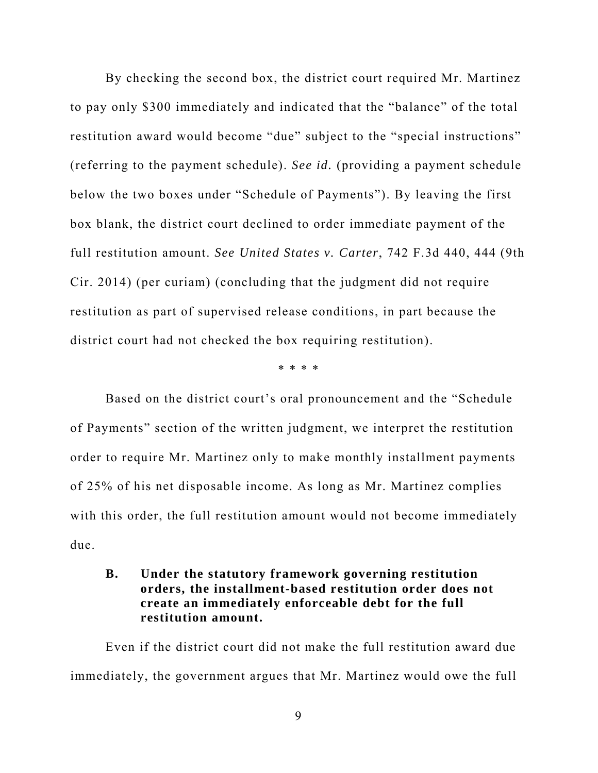By checking the second box, the district court required Mr. Martinez to pay only \$300 immediately and indicated that the "balance" of the total restitution award would become "due" subject to the "special instructions" (referring to the payment schedule). *See id.* (providing a payment schedule below the two boxes under "Schedule of Payments"). By leaving the first box blank, the district court declined to order immediate payment of the full restitution amount. *See United States v. Carter*, 742 F.3d 440, 444 (9th Cir. 2014) (per curiam) (concluding that the judgment did not require restitution as part of supervised release conditions, in part because the district court had not checked the box requiring restitution).

\* \* \* \*

 Based on the district court's oral pronouncement and the "Schedule of Payments" section of the written judgment, we interpret the restitution order to require Mr. Martinez only to make monthly installment payments of 25% of his net disposable income. As long as Mr. Martinez complies with this order, the full restitution amount would not become immediately due.

# **B. Under the statutory framework governing restitution orders, the installment-based restitution order does not create an immediately enforceable debt for the full restitution amount.**

Even if the district court did not make the full restitution award due immediately, the government argues that Mr. Martinez would owe the full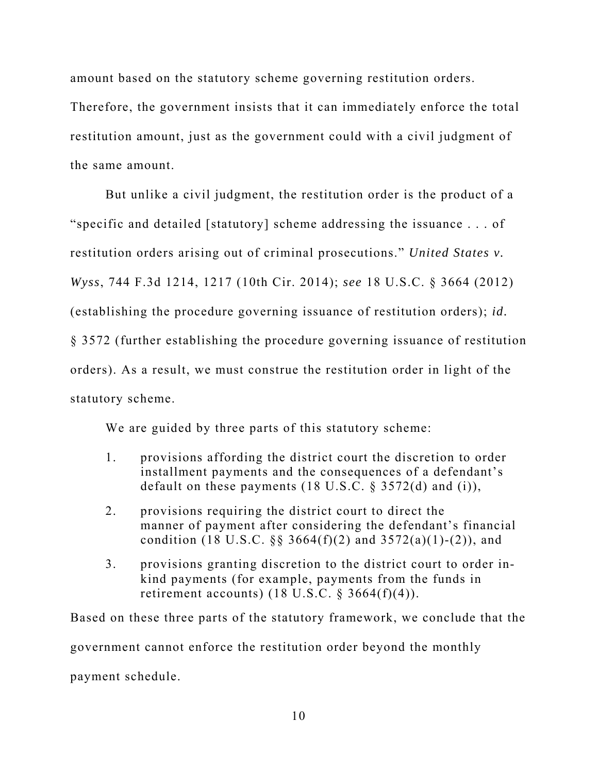amount based on the statutory scheme governing restitution orders.

Therefore, the government insists that it can immediately enforce the total restitution amount, just as the government could with a civil judgment of the same amount.

But unlike a civil judgment, the restitution order is the product of a "specific and detailed [statutory] scheme addressing the issuance . . . of restitution orders arising out of criminal prosecutions." *United States v. Wyss*, 744 F.3d 1214, 1217 (10th Cir. 2014); *see* 18 U.S.C. § 3664 (2012) (establishing the procedure governing issuance of restitution orders); *id.* § 3572 (further establishing the procedure governing issuance of restitution orders). As a result, we must construe the restitution order in light of the statutory scheme.

We are guided by three parts of this statutory scheme:

- 1. provisions affording the district court the discretion to order installment payments and the consequences of a defendant's default on these payments  $(18 \text{ U.S.C.} \S 3572(d)$  and  $(i)$ ),
- 2. provisions requiring the district court to direct the manner of payment after considering the defendant's financial condition (18 U.S.C. §§ 3664(f)(2) and 3572(a)(1)-(2)), and
- 3. provisions granting discretion to the district court to order inkind payments (for example, payments from the funds in retirement accounts)  $(18 \text{ U.S.C. } § 3664(f)(4))$ .

Based on these three parts of the statutory framework, we conclude that the government cannot enforce the restitution order beyond the monthly payment schedule.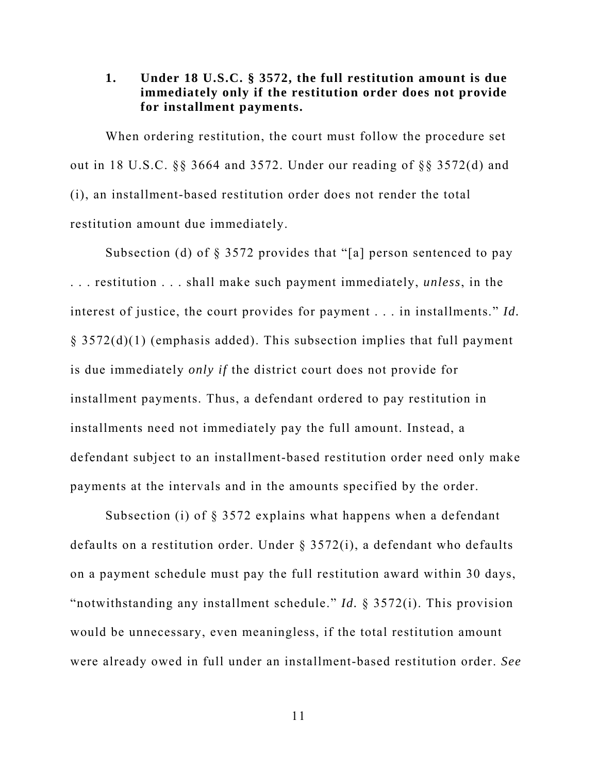## **1. Under 18 U.S.C. § 3572, the full restitution amount is due immediately only if the restitution order does not provide for installment payments.**

 When ordering restitution, the court must follow the procedure set out in 18 U.S.C. §§ 3664 and 3572. Under our reading of §§ 3572(d) and (i), an installment-based restitution order does not render the total restitution amount due immediately.

Subsection (d) of § 3572 provides that "[a] person sentenced to pay . . . restitution . . . shall make such payment immediately, *unless*, in the interest of justice, the court provides for payment . . . in installments." *Id.*  $\S$  3572(d)(1) (emphasis added). This subsection implies that full payment is due immediately *only if* the district court does not provide for installment payments. Thus, a defendant ordered to pay restitution in installments need not immediately pay the full amount. Instead, a defendant subject to an installment-based restitution order need only make payments at the intervals and in the amounts specified by the order.

Subsection (i) of § 3572 explains what happens when a defendant defaults on a restitution order. Under § 3572(i), a defendant who defaults on a payment schedule must pay the full restitution award within 30 days, "notwithstanding any installment schedule." *Id.* § 3572(i). This provision would be unnecessary, even meaningless, if the total restitution amount were already owed in full under an installment-based restitution order. *See*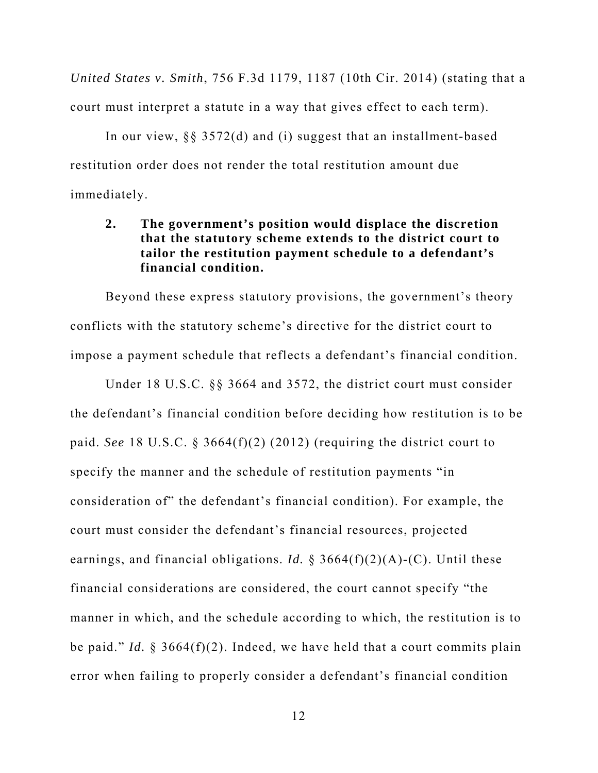*United States v. Smith*, 756 F.3d 1179, 1187 (10th Cir. 2014) (stating that a court must interpret a statute in a way that gives effect to each term).

In our view, §§ 3572(d) and (i) suggest that an installment-based restitution order does not render the total restitution amount due immediately.

# **2. The government's position would displace the discretion that the statutory scheme extends to the district court to tailor the restitution payment schedule to a defendant's financial condition.**

Beyond these express statutory provisions, the government's theory conflicts with the statutory scheme's directive for the district court to impose a payment schedule that reflects a defendant's financial condition.

Under 18 U.S.C. §§ 3664 and 3572, the district court must consider the defendant's financial condition before deciding how restitution is to be paid. *See* 18 U.S.C. § 3664(f)(2) (2012) (requiring the district court to specify the manner and the schedule of restitution payments "in consideration of" the defendant's financial condition). For example, the court must consider the defendant's financial resources, projected earnings, and financial obligations. *Id.* § 3664(f)(2)(A)-(C). Until these financial considerations are considered, the court cannot specify "the manner in which, and the schedule according to which, the restitution is to be paid." *Id.* § 3664(f)(2). Indeed, we have held that a court commits plain error when failing to properly consider a defendant's financial condition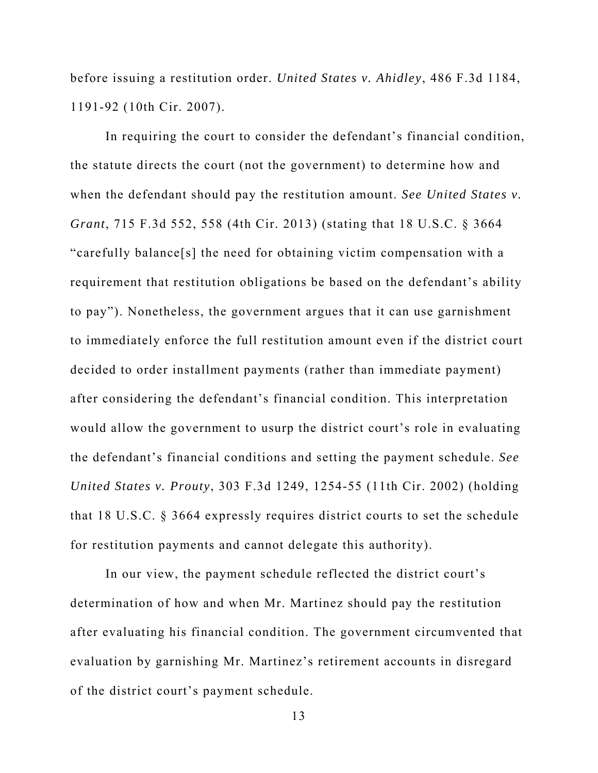before issuing a restitution order. *United States v. Ahidley*, 486 F.3d 1184, 1191-92 (10th Cir. 2007).

In requiring the court to consider the defendant's financial condition, the statute directs the court (not the government) to determine how and when the defendant should pay the restitution amount. *See United States v. Grant*, 715 F.3d 552, 558 (4th Cir. 2013) (stating that 18 U.S.C. § 3664 "carefully balance[s] the need for obtaining victim compensation with a requirement that restitution obligations be based on the defendant's ability to pay"). Nonetheless, the government argues that it can use garnishment to immediately enforce the full restitution amount even if the district court decided to order installment payments (rather than immediate payment) after considering the defendant's financial condition. This interpretation would allow the government to usurp the district court's role in evaluating the defendant's financial conditions and setting the payment schedule. *See United States v. Prouty*, 303 F.3d 1249, 1254-55 (11th Cir. 2002) (holding that 18 U.S.C. § 3664 expressly requires district courts to set the schedule for restitution payments and cannot delegate this authority).

In our view, the payment schedule reflected the district court's determination of how and when Mr. Martinez should pay the restitution after evaluating his financial condition. The government circumvented that evaluation by garnishing Mr. Martinez's retirement accounts in disregard of the district court's payment schedule.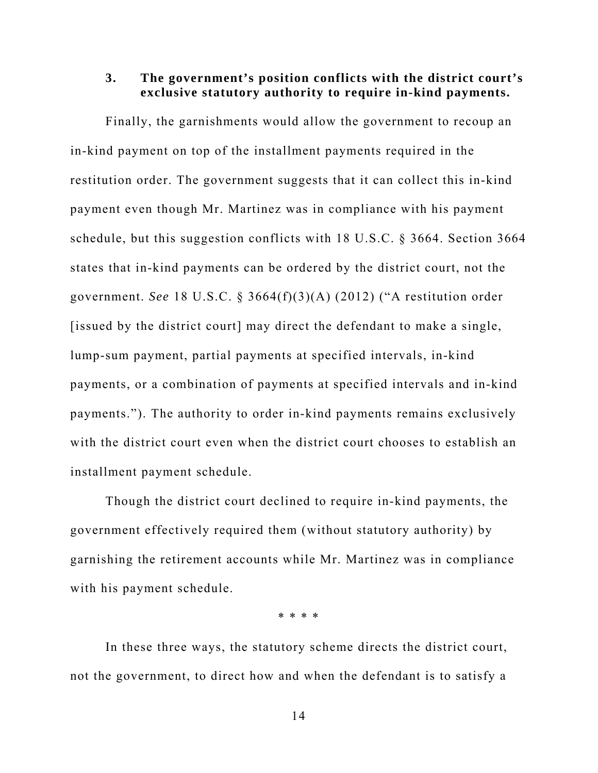### **3. The government's position conflicts with the district court's exclusive statutory authority to require in-kind payments.**

Finally, the garnishments would allow the government to recoup an in-kind payment on top of the installment payments required in the restitution order. The government suggests that it can collect this in-kind payment even though Mr. Martinez was in compliance with his payment schedule, but this suggestion conflicts with 18 U.S.C. § 3664. Section 3664 states that in-kind payments can be ordered by the district court, not the government. *See* 18 U.S.C. § 3664(f)(3)(A) (2012) ("A restitution order [issued by the district court] may direct the defendant to make a single, lump-sum payment, partial payments at specified intervals, in-kind payments, or a combination of payments at specified intervals and in-kind payments."). The authority to order in-kind payments remains exclusively with the district court even when the district court chooses to establish an installment payment schedule.

Though the district court declined to require in-kind payments, the government effectively required them (without statutory authority) by garnishing the retirement accounts while Mr. Martinez was in compliance with his payment schedule.

\* \* \* \*

 In these three ways, the statutory scheme directs the district court, not the government, to direct how and when the defendant is to satisfy a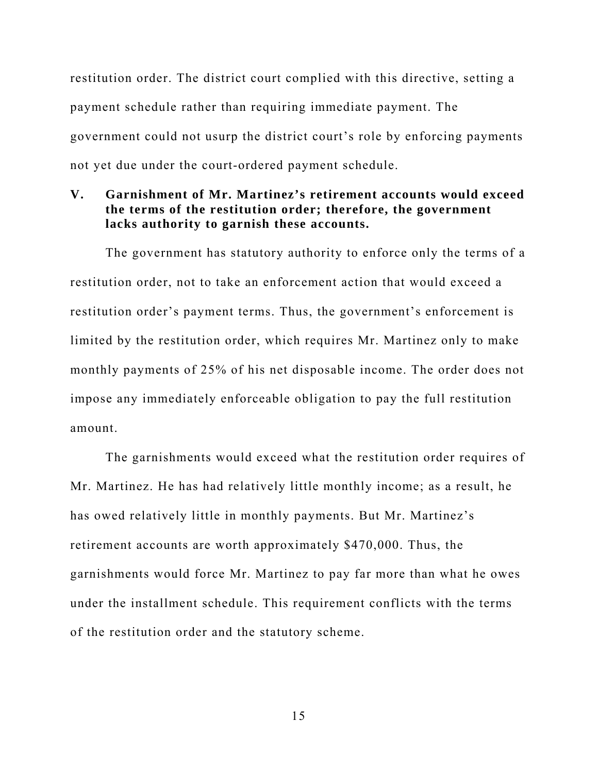restitution order. The district court complied with this directive, setting a payment schedule rather than requiring immediate payment. The government could not usurp the district court's role by enforcing payments not yet due under the court-ordered payment schedule.

### **V. Garnishment of Mr. Martinez's retirement accounts would exceed the terms of the restitution order; therefore, the government lacks authority to garnish these accounts.**

The government has statutory authority to enforce only the terms of a restitution order, not to take an enforcement action that would exceed a restitution order's payment terms. Thus, the government's enforcement is limited by the restitution order, which requires Mr. Martinez only to make monthly payments of 25% of his net disposable income. The order does not impose any immediately enforceable obligation to pay the full restitution amount.

The garnishments would exceed what the restitution order requires of Mr. Martinez. He has had relatively little monthly income; as a result, he has owed relatively little in monthly payments. But Mr. Martinez's retirement accounts are worth approximately \$470,000. Thus, the garnishments would force Mr. Martinez to pay far more than what he owes under the installment schedule. This requirement conflicts with the terms of the restitution order and the statutory scheme.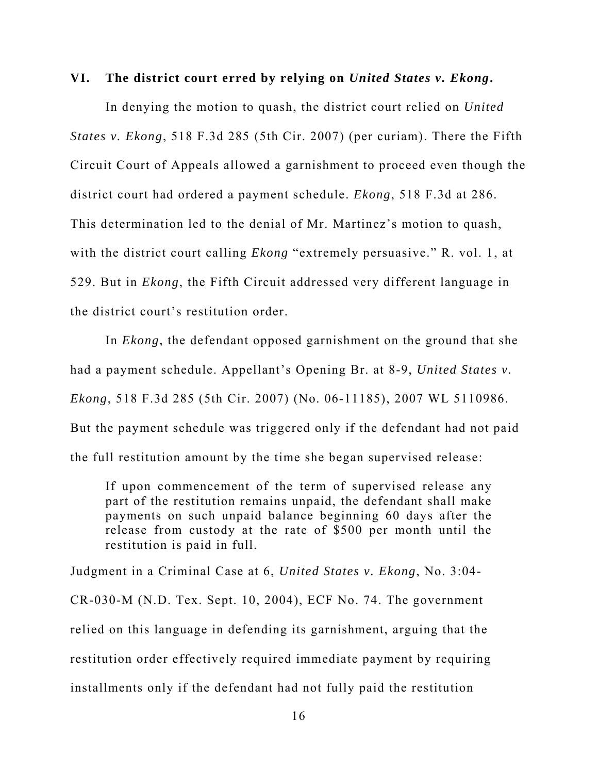### **VI. The district court erred by relying on** *United States v. Ekong***.**

In denying the motion to quash, the district court relied on *United States v. Ekong*, 518 F.3d 285 (5th Cir. 2007) (per curiam). There the Fifth Circuit Court of Appeals allowed a garnishment to proceed even though the district court had ordered a payment schedule. *Ekong*, 518 F.3d at 286. This determination led to the denial of Mr. Martinez's motion to quash, with the district court calling *Ekong* "extremely persuasive." R. vol. 1, at 529. But in *Ekong*, the Fifth Circuit addressed very different language in the district court's restitution order.

In *Ekong*, the defendant opposed garnishment on the ground that she had a payment schedule. Appellant's Opening Br. at 8-9, *United States v. Ekong*, 518 F.3d 285 (5th Cir. 2007) (No. 06-11185), 2007 WL 5110986. But the payment schedule was triggered only if the defendant had not paid the full restitution amount by the time she began supervised release:

If upon commencement of the term of supervised release any part of the restitution remains unpaid, the defendant shall make payments on such unpaid balance beginning 60 days after the release from custody at the rate of \$500 per month until the restitution is paid in full.

Judgment in a Criminal Case at 6, *United States v. Ekong*, No. 3:04- CR-030-M (N.D. Tex. Sept. 10, 2004), ECF No. 74. The government relied on this language in defending its garnishment, arguing that the restitution order effectively required immediate payment by requiring installments only if the defendant had not fully paid the restitution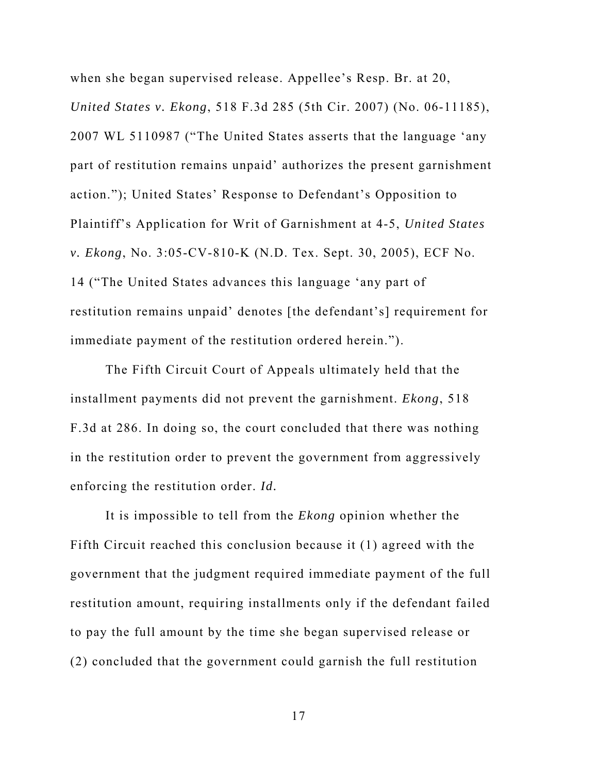when she began supervised release. Appellee's Resp. Br. at 20, *United States v. Ekong*, 518 F.3d 285 (5th Cir. 2007) (No. 06-11185), 2007 WL 5110987 ("The United States asserts that the language 'any part of restitution remains unpaid' authorizes the present garnishment action."); United States' Response to Defendant's Opposition to Plaintiff's Application for Writ of Garnishment at 4-5, *United States v. Ekong*, No. 3:05-CV-810-K (N.D. Tex. Sept. 30, 2005), ECF No. 14 ("The United States advances this language 'any part of restitution remains unpaid' denotes [the defendant's] requirement for immediate payment of the restitution ordered herein.").

The Fifth Circuit Court of Appeals ultimately held that the installment payments did not prevent the garnishment. *Ekong*, 518 F.3d at 286. In doing so, the court concluded that there was nothing in the restitution order to prevent the government from aggressively enforcing the restitution order. *Id.* 

It is impossible to tell from the *Ekong* opinion whether the Fifth Circuit reached this conclusion because it (1) agreed with the government that the judgment required immediate payment of the full restitution amount, requiring installments only if the defendant failed to pay the full amount by the time she began supervised release or (2) concluded that the government could garnish the full restitution